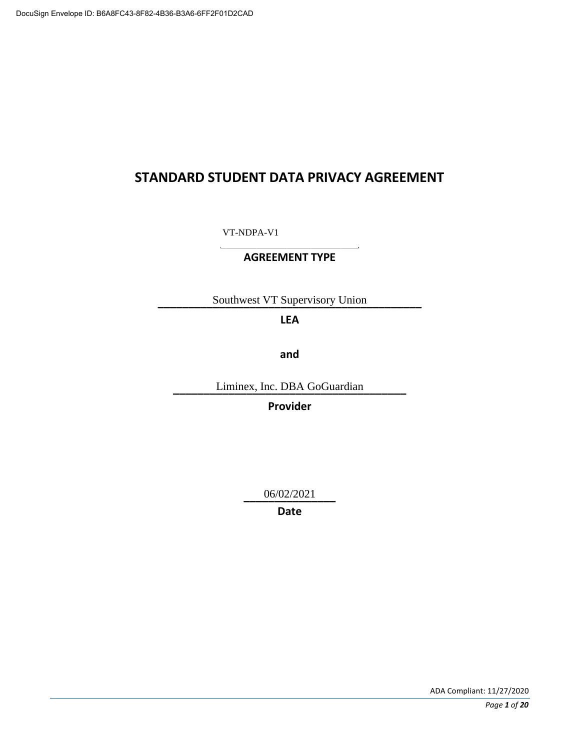# **STANDARD STUDENT DATA PRIVACY AGREEMENT**

**\_\_\_\_\_\_\_\_\_\_\_\_\_\_\_\_\_\_\_\_\_\_\_**  VT-NDPA-V1

### **AGREEMENT TYPE**

**\_\_\_\_\_\_\_\_\_\_\_\_\_\_\_\_\_\_\_\_\_\_\_\_\_\_\_\_\_\_\_\_\_\_\_\_\_\_\_\_\_\_\_**  Southwest VT Supervisory Union

# **LEA**

**and** 

**\_\_\_\_\_\_\_\_\_\_\_\_\_\_\_\_\_\_\_\_\_\_\_\_\_\_\_\_\_\_\_\_\_\_\_\_\_\_**  Liminex, Inc. DBA GoGuardian

**Provider** 

**\_\_\_\_\_\_\_\_\_\_\_\_\_\_\_**  06/02/2021

**Date**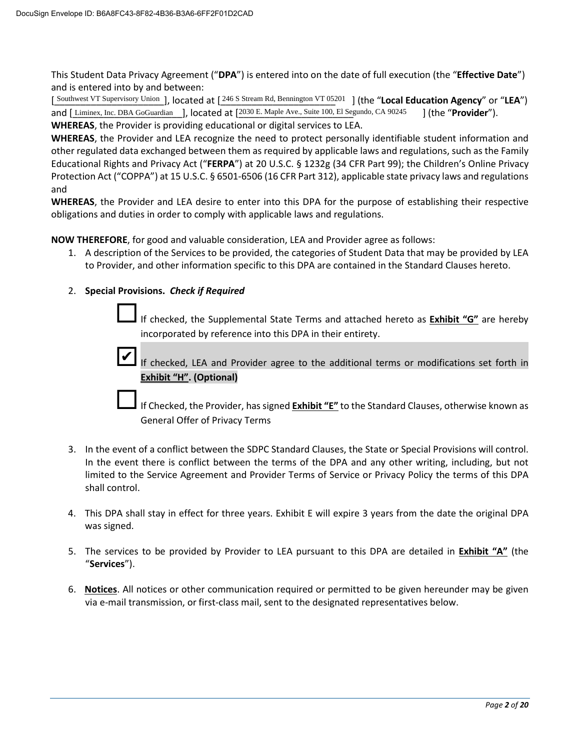and is entered into by and between: This Student Data Privacy Agreement ("**DPA**") is entered into on the date of full execution (the "**Effective Date**")

 **WHEREAS**, the Provider is providing educational or digital services to LEA. [Southwest VT Supervisory Union ], located at [246 S Stream Rd, Bennington VT 05201 ] (the "**Local Education Agency**" or "**LEA**") and [Liminex, Inc. DBA GoGuardian ], located at [2030 E. Maple Ave., Suite 100, El Segundo, and [Liminex, Inc. DBA GoGuardian ], located at [2030 E. Maple Ave., Suite 100, El Segundo, CA 90245 ] (the "**Provider**").

 **WHEREAS**, the Provider and LEA recognize the need to protect personally identifiable student information and other regulated data exchanged between them as required by applicable laws and regulations, such as the Family Educational Rights and Privacy Act ("**FERPA**") at 20 U.S.C. § 1232g (34 CFR Part 99); the Children's Online Privacy Protection Act ("COPPA") at 15 U.S.C. § 6501-6506 (16 CFR Part 312), applicable state privacy laws and regulations and

 **WHEREAS**, the Provider and LEA desire to enter into this DPA for the purpose of establishing their respective obligations and duties in order to comply with applicable laws and regulations.

**NOW THEREFORE**, for good and valuable consideration, LEA and Provider agree as follows:

1. A description of the Services to be provided, the categories of Student Data that may be provided by LEA to Provider, and other information specific to this DPA are contained in the Standard Clauses hereto.

#### 2. **Special Provisions.** *Check if Required*

If checked, the Supplemental State Terms and attached hereto as **Exhibit "G"** are hereby incorporated by reference into this DPA in their entirety.

✔

If checked, LEA and Provider agree to the additional terms or modifications set forth in **Exhibit "H". (Optional)**

If Checked, the Provider, has signed **Exhibit "E"** to the Standard Clauses, otherwise known as General Offer of Privacy Terms

- In the event there is conflict between the terms of the DPA and any other writing, including, but not limited to the Service Agreement and Provider Terms of Service or Privacy Policy the terms of this DPA 3. In the event of a conflict between the SDPC Standard Clauses, the State or Special Provisions will control. shall control.
- 4. This DPA shall stay in effect for three years. Exhibit E will expire 3 years from the date the original DPA was signed.
- 5. The services to be provided by Provider to LEA pursuant to this DPA are detailed in **Exhibit "A"** (the "**Services**").
- via e-mail transmission, or first-class mail, sent to the designated representatives below. 6. **Notices**. All notices or other communication required or permitted to be given hereunder may be given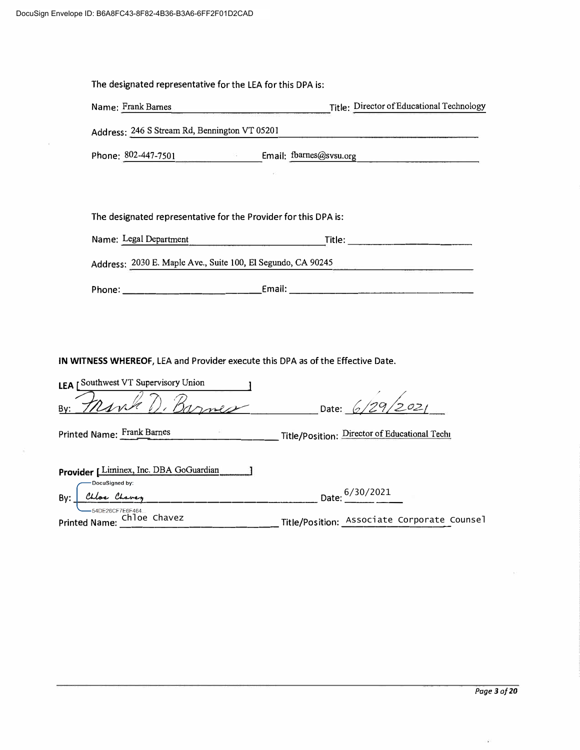| The designated representative for the LEA for this DPA is: |                                                                                                                                                                               |  |
|------------------------------------------------------------|-------------------------------------------------------------------------------------------------------------------------------------------------------------------------------|--|
| Name: Frank Barnes                                         | Title: Director of Educational Technology<br><u>.</u><br>1980 - Paul III, maritana amerikana kaominina mpikambana amin'ny fivondronan-kaominin'i Amerika ao amin'ny fivondron |  |
| Address: 246 S Stream Rd, Bennington VT 05201              |                                                                                                                                                                               |  |
|                                                            | Phone: 802-447-7501 Email: fbarnes@svsu.org                                                                                                                                   |  |
|                                                            |                                                                                                                                                                               |  |
|                                                            |                                                                                                                                                                               |  |
|                                                            | The designated representative for the Provider for this DPA is:                                                                                                               |  |
| Name: Legal Department                                     | Title:                                                                                                                                                                        |  |
|                                                            | Address: 2030 E. Maple Ave., Suite 100, El Segundo, CA 90245                                                                                                                  |  |
|                                                            |                                                                                                                                                                               |  |

**IN WITNESS WHEREOF,** LEA and Provider execute this DPA as of the Effective Date.

| LEA [Southwest VT Supervisory Union           |                                               |
|-----------------------------------------------|-----------------------------------------------|
| By:                                           | Date: 6/29/2021                               |
| Printed Name: Frank Barnes                    | Title/Position: Director of Educational Techn |
| Provider [Liminex, Inc. DBA GoGuardian        |                                               |
| Docusigned by:<br>Chloe Chavey<br>By:         | Date: 6/30/2021                               |
| 54DE26CF7E6F464<br>Printed Name: Chloe Chavez | Title/Position: Associate Corporate Coun      |

Printed Name: \_Chloe Chavez \_\_\_\_\_\_\_\_\_\_\_\_\_\_\_\_\_\_\_\_\_\_\_\_\_\_\_\_Title/Position: <u>\_Associate Corporate C</u>ounsel

ú.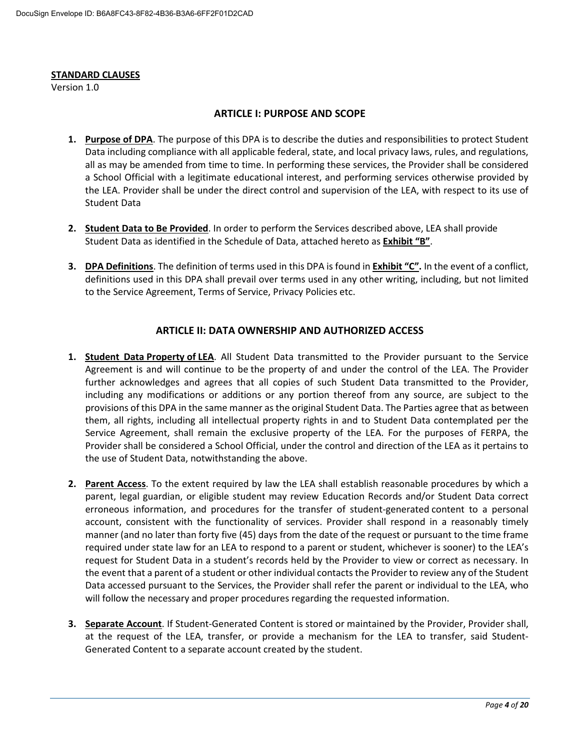#### **STANDARD CLAUSES**

Version 1.0

#### **ARTICLE I: PURPOSE AND SCOPE**

- Data including compliance with all applicable federal, state, and local privacy laws, rules, and regulations, the LEA. Provider shall be under the direct control and supervision of the LEA, with respect to its use of **1. Purpose of DPA**. The purpose of this DPA is to describe the duties and responsibilities to protect Student all as may be amended from time to time. In performing these services, the Provider shall be considered a School Official with a legitimate educational interest, and performing services otherwise provided by Student Data
- **2. Student Data to Be Provided**. In order to perform the Services described above, LEA shall provide Student Data as identified in the Schedule of Data, attached hereto as **Exhibit "B"**.
- **3. DPA Definitions**. The definition of terms used in this DPA is found in **Exhibit "C".** In the event of a conflict, to the Service Agreement, Terms of Service, Privacy Policies etc. definitions used in this DPA shall prevail over terms used in any other writing, including, but not limited

#### **ARTICLE II: DATA OWNERSHIP AND AUTHORIZED ACCESS**

- **1. Student Data Property of LEA**. All Student Data transmitted to the Provider pursuant to the Service   Agreement is and will continue to be the property of and under the control of the LEA. The Provider Service Agreement, shall remain the exclusive property of the LEA. For the purposes of FERPA, the the use of Student Data, notwithstanding the above. further acknowledges and agrees that all copies of such Student Data transmitted to the Provider, including any modifications or additions or any portion thereof from any source, are subject to the provisions of this DPA in the same manner as the original Student Data. The Parties agree that as between them, all rights, including all intellectual property rights in and to Student Data contemplated per the Provider shall be considered a School Official, under the control and direction of the LEA as it pertains to
- erroneous information, and procedures for the transfer of student-generated content to a personal required under state law for an LEA to respond to a parent or student, whichever is sooner) to the LEA's request for Student Data in a student's records held by the Provider to view or correct as necessary. In the event that a parent of a student or other individual contacts the Provider to review any of the Student **2. Parent Access**. To the extent required by law the LEA shall establish reasonable procedures by which a parent, legal guardian, or eligible student may review Education Records and/or Student Data correct account, consistent with the functionality of services. Provider shall respond in a reasonably timely manner (and no later than forty five (45) days from the date of the request or pursuant to the time frame Data accessed pursuant to the Services, the Provider shall refer the parent or individual to the LEA, who will follow the necessary and proper procedures regarding the requested information.
- **3. Separate Account**. If Student-Generated Content is stored or maintained by the Provider, Provider shall, at the request of the LEA, transfer, or provide a mechanism for the LEA to transfer, said Student-Generated Content to a separate account created by the student.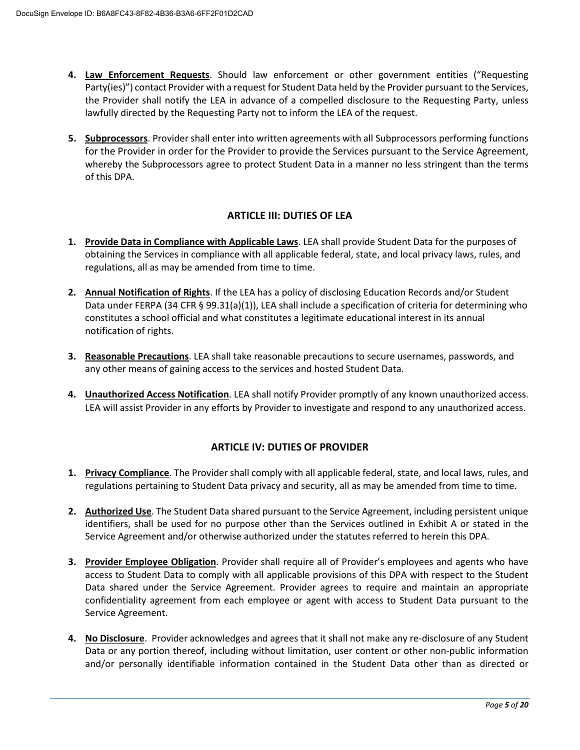- **4. Law Enforcement Requests**. Should law enforcement or other government entities ("Requesting Party(ies)") contact Provider with a request for Student Data held by the Provider pursuant to the Services, the Provider shall notify the LEA in advance of a compelled disclosure to the Requesting Party, unless lawfully directed by the Requesting Party not to inform the LEA of the request.
- **5. Subprocessors**. Provider shall enter into written agreements with all Subprocessors performing functions for the Provider in order for the Provider to provide the Services pursuant to the Service Agreement, whereby the Subprocessors agree to protect Student Data in a manner no less stringent than the terms of this DPA.

### **ARTICLE III: DUTIES OF LEA**

- obtaining the Services in compliance with all applicable federal, state, and local privacy laws, rules, and regulations, all as may be amended from time to time. **1. Provide Data in Compliance with Applicable Laws**. LEA shall provide Student Data for the purposes of
- **2. Annual Notification of Rights**. If the LEA has a policy of disclosing Education Records and/or Student Data under FERPA (34 CFR § 99.31(a)(1)), LEA shall include a specification of criteria for determining who constitutes a school official and what constitutes a legitimate educational interest in its annual notification of rights.
- any other means of gaining access to the services and hosted Student Data. **3. Reasonable Precautions**. LEA shall take reasonable precautions to secure usernames, passwords, and
- **4. Unauthorized Access Notification**. LEA shall notify Provider promptly of any known unauthorized access. LEA will assist Provider in any efforts by Provider to investigate and respond to any unauthorized access.

### **ARTICLE IV: DUTIES OF PROVIDER**

- **1. Privacy Compliance**. The Provider shall comply with all applicable federal, state, and local laws, rules, and regulations pertaining to Student Data privacy and security, all as may be amended from time to time.
- identifiers, shall be used for no purpose other than the Services outlined in Exhibit A or stated in the **2. Authorized Use**. The Student Data shared pursuant to the Service Agreement, including persistent unique Service Agreement and/or otherwise authorized under the statutes referred to herein this DPA.
- access to Student Data to comply with all applicable provisions of this DPA with respect to the Student **3. Provider Employee Obligation**. Provider shall require all of Provider's employees and agents who have Data shared under the Service Agreement. Provider agrees to require and maintain an appropriate confidentiality agreement from each employee or agent with access to Student Data pursuant to the Service Agreement.
- and/or personally identifiable information contained in the Student Data other than as directed or **4. No Disclosure**. Provider acknowledges and agrees that it shall not make any re-disclosure of any Student Data or any portion thereof, including without limitation, user content or other non-public information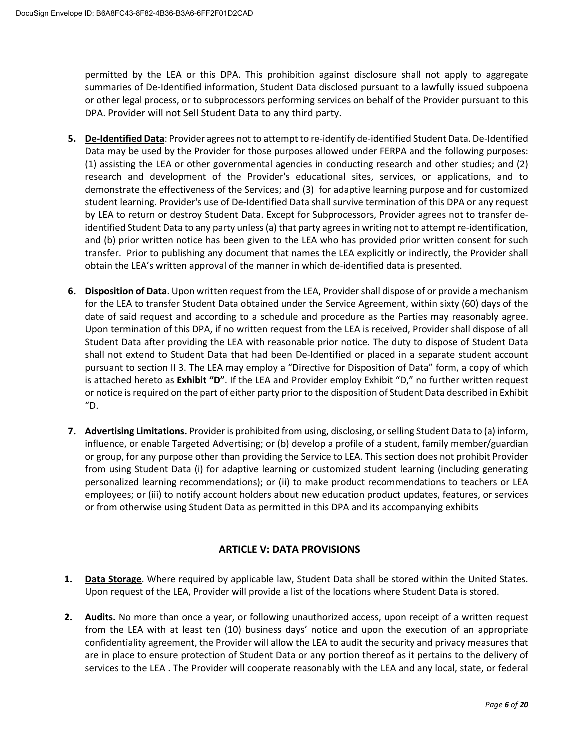permitted by the LEA or this DPA. This prohibition against disclosure shall not apply to aggregate or other legal process, or to subprocessors performing services on behalf of the Provider pursuant to this summaries of De-Identified information, Student Data disclosed pursuant to a lawfully issued subpoena DPA. Provider will not Sell Student Data to any third party.

- Data may be used by the Provider for those purposes allowed under FERPA and the following purposes: (1) assisting the LEA or other governmental agencies in conducting research and other studies; and (2) student learning. Provider's use of De-Identified Data shall survive termination of this DPA or any request and (b) prior written notice has been given to the LEA who has provided prior written consent for such transfer. Prior to publishing any document that names the LEA explicitly or indirectly, the Provider shall obtain the LEA's written approval of the manner in which de-identified data is presented. **5. De-Identified Data**: Provider agrees not to attempt to re-identify de-identified Student Data. De-Identified research and development of the Provider's educational sites, services, or applications, and to demonstrate the effectiveness of the Services; and (3) for adaptive learning purpose and for customized by LEA to return or destroy Student Data. Except for Subprocessors, Provider agrees not to transfer deidentified Student Data to any party unless (a) that party agrees in writing not to attempt re-identification,
- for the LEA to transfer Student Data obtained under the Service Agreement, within sixty (60) days of the date of said request and according to a schedule and procedure as the Parties may reasonably agree. Student Data after providing the LEA with reasonable prior notice. The duty to dispose of Student Data pursuant to section II 3. The LEA may employ a "Directive for Disposition of Data" form, a copy of which is attached hereto as **Exhibit "D"**. If the LEA and Provider employ Exhibit "D," no further written request or notice is required on the part of either party prior to the disposition of Student Data described in Exhibit **6. Disposition of Data**. Upon written request from the LEA, Provider shall dispose of or provide a mechanism Upon termination of this DPA, if no written request from the LEA is received, Provider shall dispose of all shall not extend to Student Data that had been De-Identified or placed in a separate student account "D.
- or group, for any purpose other than providing the Service to LEA. This section does not prohibit Provider personalized learning recommendations); or (ii) to make product recommendations to teachers or LEA **7. Advertising Limitations.** Provider is prohibited from using, disclosing, or selling Student Data to (a) inform, influence, or enable Targeted Advertising; or (b) develop a profile of a student, family member/guardian from using Student Data (i) for adaptive learning or customized student learning (including generating employees; or (iii) to notify account holders about new education product updates, features, or services or from otherwise using Student Data as permitted in this DPA and its accompanying exhibits

## **ARTICLE V: DATA PROVISIONS**

- **1. Data Storage**. Where required by applicable law, Student Data shall be stored within the United States. Upon request of the LEA, Provider will provide a list of the locations where Student Data is stored.
- 2. Audits. No more than once a year, or following unauthorized access, upon receipt of a written request confidentiality agreement, the Provider will allow the LEA to audit the security and privacy measures that are in place to ensure protection of Student Data or any portion thereof as it pertains to the delivery of services to the LEA . The Provider will cooperate reasonably with the LEA and any local, state, or federal from the LEA with at least ten (10) business days' notice and upon the execution of an appropriate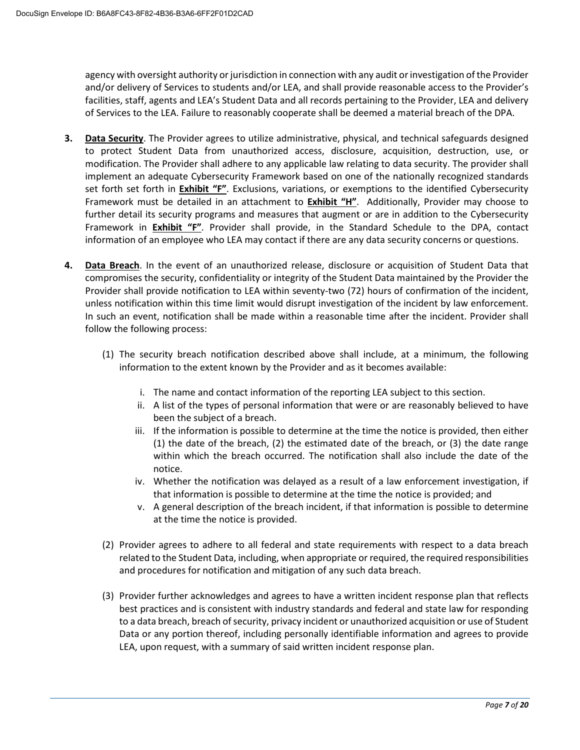agency with oversight authority or jurisdiction in connection with any audit or investigation of the Provider and/or delivery of Services to students and/or LEA, and shall provide reasonable access to the Provider's facilities, staff, agents and LEA's Student Data and all records pertaining to the Provider, LEA and delivery of Services to the LEA. Failure to reasonably cooperate shall be deemed a material breach of the DPA.

- to protect Student Data from unauthorized access, disclosure, acquisition, destruction, use, or implement an adequate Cybersecurity Framework based on one of the nationally recognized standards Framework must be detailed in an attachment to **Exhibit "H"**. Additionally, Provider may choose to information of an employee who LEA may contact if there are any data security concerns or questions. **3. Data Security**. The Provider agrees to utilize administrative, physical, and technical safeguards designed modification. The Provider shall adhere to any applicable law relating to data security. The provider shall set forth set forth in **Exhibit "F"**. Exclusions, variations, or exemptions to the identified Cybersecurity further detail its security programs and measures that augment or are in addition to the Cybersecurity Framework in **Exhibit "F"**. Provider shall provide, in the Standard Schedule to the DPA, contact
- **4. Data Breach**. In the event of an unauthorized release, disclosure or acquisition of Student Data that compromises the security, confidentiality or integrity of the Student Data maintained by the Provider the Provider shall provide notification to LEA within seventy-two (72) hours of confirmation of the incident, unless notification within this time limit would disrupt investigation of the incident by law enforcement. In such an event, notification shall be made within a reasonable time after the incident. Provider shall follow the following process:
	- (1) The security breach notification described above shall include, at a minimum, the following information to the extent known by the Provider and as it becomes available:
		- i. The name and contact information of the reporting LEA subject to this section.
		- ii. A list of the types of personal information that were or are reasonably believed to have been the subject of a breach.
		- iii. If the information is possible to determine at the time the notice is provided, then either (1) the date of the breach, (2) the estimated date of the breach, or (3) the date range within which the breach occurred. The notification shall also include the date of the notice.
		- iv. Whether the notification was delayed as a result of a law enforcement investigation, if that information is possible to determine at the time the notice is provided; and
		- v. A general description of the breach incident, if that information is possible to determine at the time the notice is provided.
	- and procedures for notification and mitigation of any such data breach. (2) Provider agrees to adhere to all federal and state requirements with respect to a data breach related to the Student Data, including, when appropriate or required, the required responsibilities
	- to a data breach, breach of security, privacy incident or unauthorized acquisition or use of Student Data or any portion thereof, including personally identifiable information and agrees to provide (3) Provider further acknowledges and agrees to have a written incident response plan that reflects best practices and is consistent with industry standards and federal and state law for responding LEA, upon request, with a summary of said written incident response plan.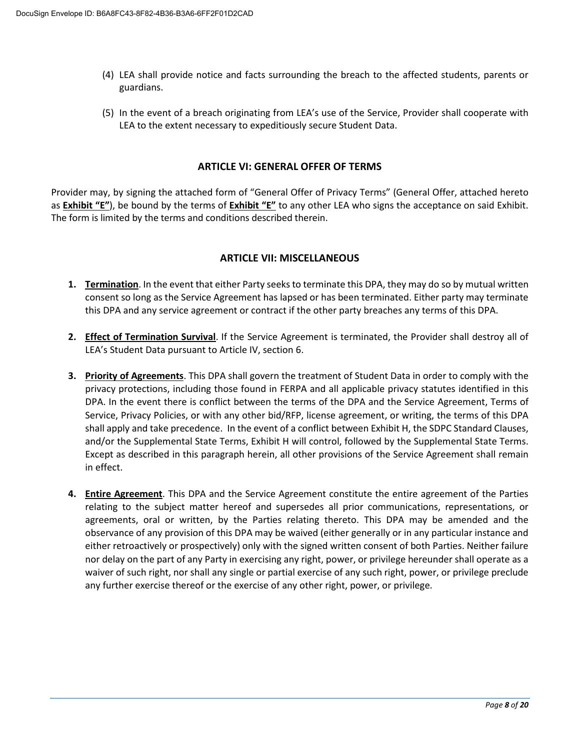- (4) LEA shall provide notice and facts surrounding the breach to the affected students, parents or guardians.
- (5) In the event of a breach originating from LEA's use of the Service, Provider shall cooperate with LEA to the extent necessary to expeditiously secure Student Data.

#### **ARTICLE VI: GENERAL OFFER OF TERMS**

 as **Exhibit "E"**), be bound by the terms of **Exhibit "E"** to any other LEA who signs the acceptance on said Exhibit. The form is limited by the terms and conditions described therein. Provider may, by signing the attached form of "General Offer of Privacy Terms" (General Offer, attached hereto

#### **ARTICLE VII: MISCELLANEOUS**

- consent so long as the Service Agreement has lapsed or has been terminated. Either party may terminate this DPA and any service agreement or contract if the other party breaches any terms of this DPA. **1. Termination**. In the event that either Party seeks to terminate this DPA, they may do so by mutual written
- **2. Effect of Termination Survival**. If the Service Agreement is terminated, the Provider shall destroy all of LEA's Student Data pursuant to Article IV, section 6.
- shall apply and take precedence. In the event of a conflict between Exhibit H, the SDPC Standard Clauses, **3. Priority of Agreements**. This DPA shall govern the treatment of Student Data in order to comply with the privacy protections, including those found in FERPA and all applicable privacy statutes identified in this DPA. In the event there is conflict between the terms of the DPA and the Service Agreement, Terms of Service, Privacy Policies, or with any other bid/RFP, license agreement, or writing, the terms of this DPA and/or the Supplemental State Terms, Exhibit H will control, followed by the Supplemental State Terms. Except as described in this paragraph herein, all other provisions of the Service Agreement shall remain in effect.
- agreements, oral or written, by the Parties relating thereto. This DPA may be amended and the **4. Entire Agreement**. This DPA and the Service Agreement constitute the entire agreement of the Parties relating to the subject matter hereof and supersedes all prior communications, representations, or observance of any provision of this DPA may be waived (either generally or in any particular instance and either retroactively or prospectively) only with the signed written consent of both Parties. Neither failure nor delay on the part of any Party in exercising any right, power, or privilege hereunder shall operate as a waiver of such right, nor shall any single or partial exercise of any such right, power, or privilege preclude any further exercise thereof or the exercise of any other right, power, or privilege.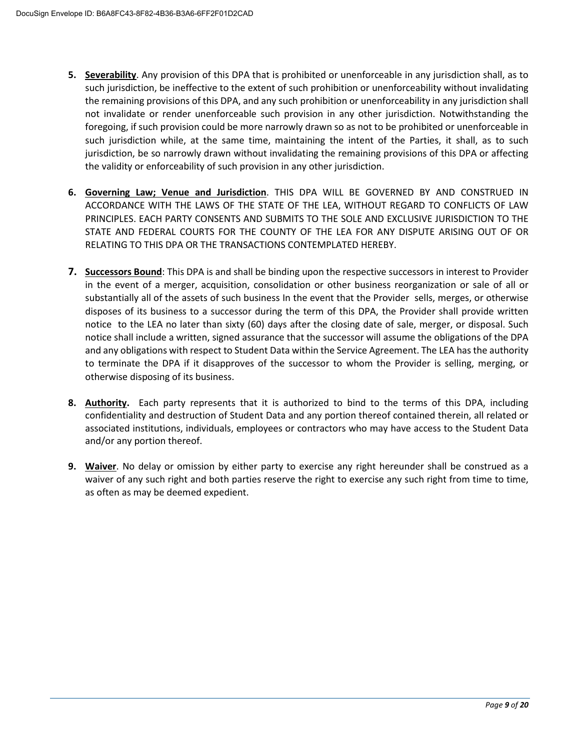- **5. Severability**. Any provision of this DPA that is prohibited or unenforceable in any jurisdiction shall, as to such jurisdiction while, at the same time, maintaining the intent of the Parties, it shall, as to such jurisdiction, be so narrowly drawn without invalidating the remaining provisions of this DPA or affecting such jurisdiction, be ineffective to the extent of such prohibition or unenforceability without invalidating the remaining provisions of this DPA, and any such prohibition or unenforceability in any jurisdiction shall not invalidate or render unenforceable such provision in any other jurisdiction. Notwithstanding the foregoing, if such provision could be more narrowly drawn so as not to be prohibited or unenforceable in the validity or enforceability of such provision in any other jurisdiction.
- ACCORDANCE WITH THE LAWS OF THE STATE OF THE LEA, WITHOUT REGARD TO CONFLICTS OF LAW **6. Governing Law; Venue and Jurisdiction**. THIS DPA WILL BE GOVERNED BY AND CONSTRUED IN PRINCIPLES. EACH PARTY CONSENTS AND SUBMITS TO THE SOLE AND EXCLUSIVE JURISDICTION TO THE STATE AND FEDERAL COURTS FOR THE COUNTY OF THE LEA FOR ANY DISPUTE ARISING OUT OF OR RELATING TO THIS DPA OR THE TRANSACTIONS CONTEMPLATED HEREBY.
- **7. Successors Bound**: This DPA is and shall be binding upon the respective successors in interest to Provider in the event of a merger, acquisition, consolidation or other business reorganization or sale of all or notice to the LEA no later than sixty (60) days after the closing date of sale, merger, or disposal. Such to terminate the DPA if it disapproves of the successor to whom the Provider is selling, merging, or substantially all of the assets of such business In the event that the Provider sells, merges, or otherwise disposes of its business to a successor during the term of this DPA, the Provider shall provide written notice shall include a written, signed assurance that the successor will assume the obligations of the DPA and any obligations with respect to Student Data within the Service Agreement. The LEA has the authority otherwise disposing of its business.
- **8. Authority.** Each party represents that it is authorized to bind to the terms of this DPA, including confidentiality and destruction of Student Data and any portion thereof contained therein, all related or associated institutions, individuals, employees or contractors who may have access to the Student Data and/or any portion thereof.
- **9. Waiver**. No delay or omission by either party to exercise any right hereunder shall be construed as a waiver of any such right and both parties reserve the right to exercise any such right from time to time, as often as may be deemed expedient.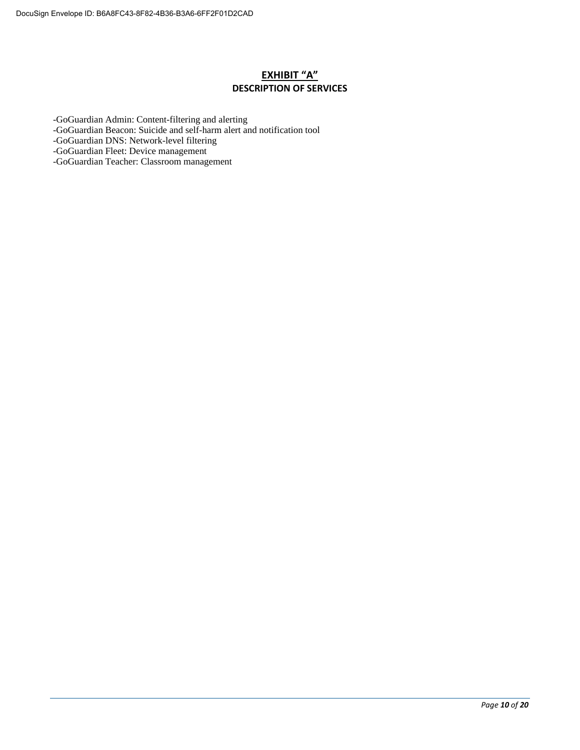### **EXHIBIT "A" DESCRIPTION OF SERVICES**

-GoGuardian Admin: Content-filtering and alerting

-GoGuardian Beacon: Suicide and self-harm alert and notification tool

-GoGuardian DNS: Network-level filtering

-GoGuardian Fleet: Device management

-GoGuardian Teacher: Classroom management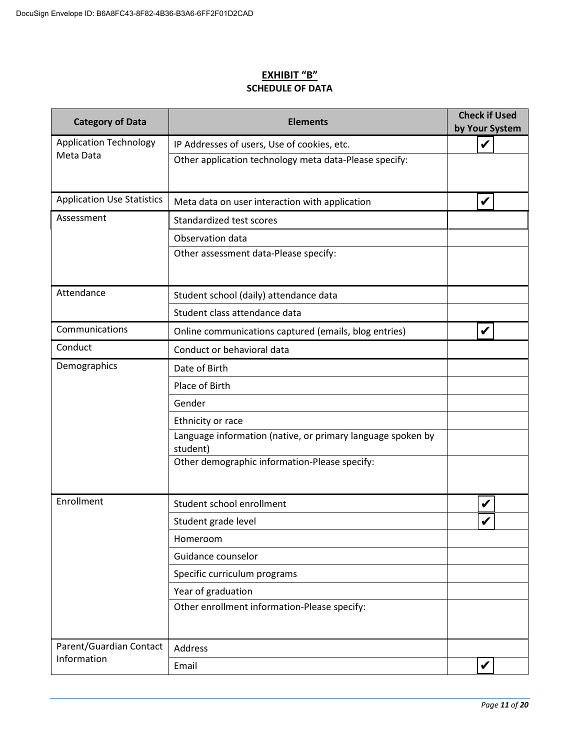### **EXHIBIT "B" SCHEDULE OF DATA**

| <b>Category of Data</b>           | <b>Elements</b>                                                         | <b>Check if Used</b><br>by Your System |  |
|-----------------------------------|-------------------------------------------------------------------------|----------------------------------------|--|
| <b>Application Technology</b>     | IP Addresses of users, Use of cookies, etc.                             | V                                      |  |
| Meta Data                         | Other application technology meta data-Please specify:                  |                                        |  |
| <b>Application Use Statistics</b> | Meta data on user interaction with application                          | V                                      |  |
| Assessment                        | Standardized test scores                                                |                                        |  |
|                                   | Observation data                                                        |                                        |  |
|                                   | Other assessment data-Please specify:                                   |                                        |  |
| Attendance                        | Student school (daily) attendance data                                  |                                        |  |
|                                   | Student class attendance data                                           |                                        |  |
| Communications                    | Online communications captured (emails, blog entries)                   |                                        |  |
| Conduct                           | Conduct or behavioral data                                              |                                        |  |
| Demographics                      | Date of Birth                                                           |                                        |  |
|                                   | Place of Birth                                                          |                                        |  |
|                                   | Gender                                                                  |                                        |  |
|                                   | Ethnicity or race                                                       |                                        |  |
|                                   | Language information (native, or primary language spoken by<br>student) |                                        |  |
|                                   | Other demographic information-Please specify:                           |                                        |  |
| Enrollment                        | Student school enrollment                                               | V                                      |  |
|                                   | Student grade level                                                     |                                        |  |
|                                   | Homeroom                                                                |                                        |  |
|                                   | Guidance counselor                                                      |                                        |  |
|                                   | Specific curriculum programs                                            |                                        |  |
|                                   | Year of graduation                                                      |                                        |  |
|                                   | Other enrollment information-Please specify:                            |                                        |  |
| Parent/Guardian Contact           | Address                                                                 |                                        |  |
| Information                       | Email                                                                   |                                        |  |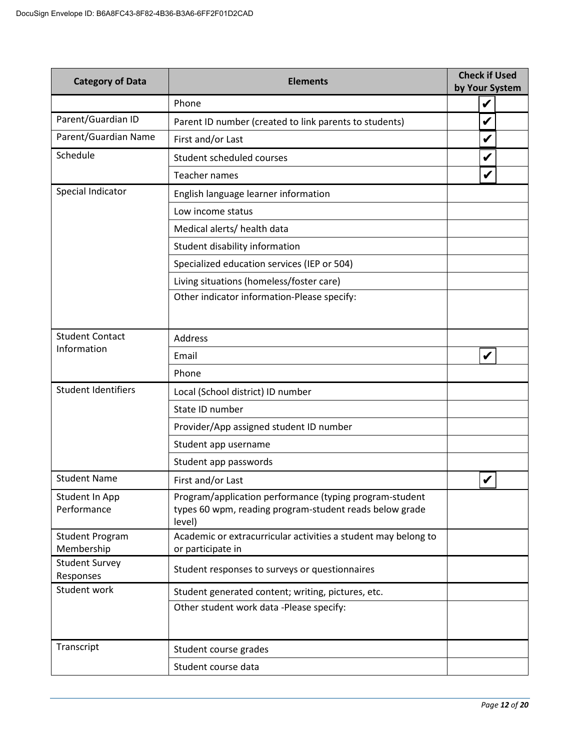| <b>Category of Data</b>              | <b>Elements</b>                                                                                                              | <b>Check if Used</b><br>by Your System |  |  |  |  |  |
|--------------------------------------|------------------------------------------------------------------------------------------------------------------------------|----------------------------------------|--|--|--|--|--|
|                                      | Phone                                                                                                                        | V                                      |  |  |  |  |  |
| Parent/Guardian ID                   | Parent ID number (created to link parents to students)                                                                       | V                                      |  |  |  |  |  |
| Parent/Guardian Name                 | V<br>First and/or Last                                                                                                       |                                        |  |  |  |  |  |
| Schedule                             | Student scheduled courses                                                                                                    | V                                      |  |  |  |  |  |
|                                      | <b>Teacher names</b>                                                                                                         | V                                      |  |  |  |  |  |
| Special Indicator                    | English language learner information                                                                                         |                                        |  |  |  |  |  |
|                                      | Low income status                                                                                                            |                                        |  |  |  |  |  |
|                                      | Medical alerts/ health data                                                                                                  |                                        |  |  |  |  |  |
|                                      | Student disability information                                                                                               |                                        |  |  |  |  |  |
|                                      | Specialized education services (IEP or 504)                                                                                  |                                        |  |  |  |  |  |
|                                      | Living situations (homeless/foster care)                                                                                     |                                        |  |  |  |  |  |
|                                      | Other indicator information-Please specify:                                                                                  |                                        |  |  |  |  |  |
|                                      |                                                                                                                              |                                        |  |  |  |  |  |
| <b>Student Contact</b>               | Address                                                                                                                      |                                        |  |  |  |  |  |
| Information                          | Email                                                                                                                        | V                                      |  |  |  |  |  |
|                                      | Phone                                                                                                                        |                                        |  |  |  |  |  |
| <b>Student Identifiers</b>           | Local (School district) ID number                                                                                            |                                        |  |  |  |  |  |
|                                      | State ID number                                                                                                              |                                        |  |  |  |  |  |
|                                      | Provider/App assigned student ID number                                                                                      |                                        |  |  |  |  |  |
|                                      | Student app username                                                                                                         |                                        |  |  |  |  |  |
|                                      | Student app passwords                                                                                                        |                                        |  |  |  |  |  |
| <b>Student Name</b>                  | First and/or Last                                                                                                            |                                        |  |  |  |  |  |
| Student In App<br>Performance        | Program/application performance (typing program-student<br>types 60 wpm, reading program-student reads below grade<br>level) |                                        |  |  |  |  |  |
| <b>Student Program</b><br>Membership | Academic or extracurricular activities a student may belong to<br>or participate in                                          |                                        |  |  |  |  |  |
| <b>Student Survey</b><br>Responses   | Student responses to surveys or questionnaires                                                                               |                                        |  |  |  |  |  |
| Student work                         | Student generated content; writing, pictures, etc.                                                                           |                                        |  |  |  |  |  |
|                                      | Other student work data -Please specify:                                                                                     |                                        |  |  |  |  |  |
| Transcript                           | Student course grades                                                                                                        |                                        |  |  |  |  |  |
|                                      | Student course data                                                                                                          |                                        |  |  |  |  |  |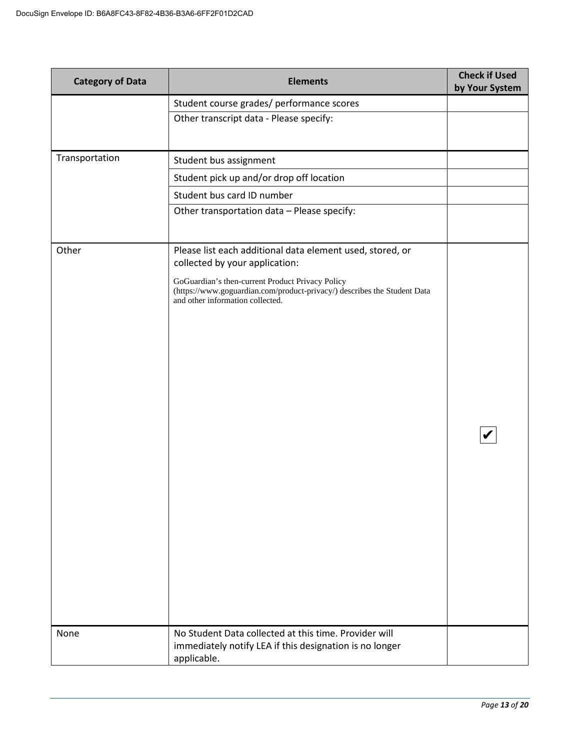| <b>Category of Data</b> | <b>Elements</b>                                                                                                                                                                                                                                                 | <b>Check if Used</b><br>by Your System |
|-------------------------|-----------------------------------------------------------------------------------------------------------------------------------------------------------------------------------------------------------------------------------------------------------------|----------------------------------------|
|                         | Student course grades/ performance scores                                                                                                                                                                                                                       |                                        |
|                         | Other transcript data - Please specify:                                                                                                                                                                                                                         |                                        |
|                         |                                                                                                                                                                                                                                                                 |                                        |
| Transportation          | Student bus assignment                                                                                                                                                                                                                                          |                                        |
|                         | Student pick up and/or drop off location                                                                                                                                                                                                                        |                                        |
|                         | Student bus card ID number                                                                                                                                                                                                                                      |                                        |
|                         | Other transportation data - Please specify:                                                                                                                                                                                                                     |                                        |
| Other                   | Please list each additional data element used, stored, or<br>collected by your application:<br>GoGuardian's then-current Product Privacy Policy<br>(https://www.goguardian.com/product-privacy/) describes the Student Data<br>and other information collected. |                                        |
| None                    | No Student Data collected at this time. Provider will<br>immediately notify LEA if this designation is no longer<br>applicable.                                                                                                                                 |                                        |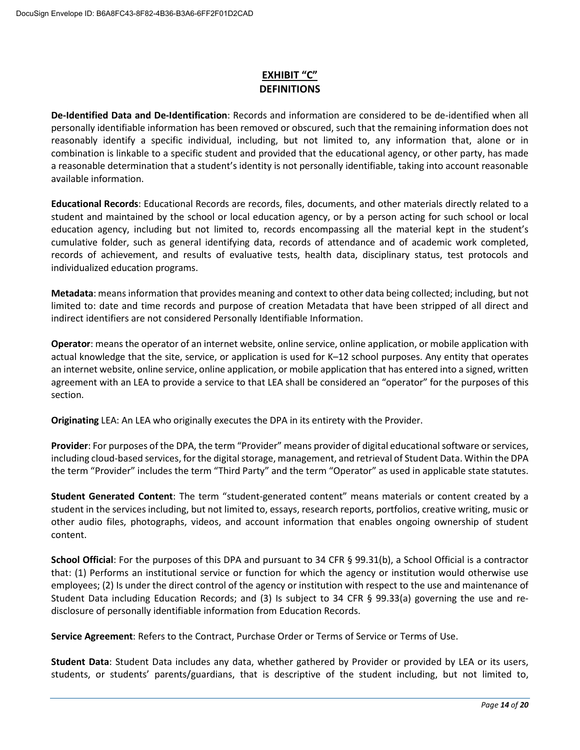# **EXHIBIT "C" DEFINITIONS**

 **De-Identified Data and De-Identification**: Records and information are considered to be de-identified when all personally identifiable information has been removed or obscured, such that the remaining information does not reasonably identify a specific individual, including, but not limited to, any information that, alone or in combination is linkable to a specific student and provided that the educational agency, or other party, has made a reasonable determination that a student's identity is not personally identifiable, taking into account reasonable available information.

 **Educational Records**: Educational Records are records, files, documents, and other materials directly related to a student and maintained by the school or local education agency, or by a person acting for such school or local cumulative folder, such as general identifying data, records of attendance and of academic work completed, records of achievement, and results of evaluative tests, health data, disciplinary status, test protocols and individualized education programs. education agency, including but not limited to, records encompassing all the material kept in the student's

 limited to: date and time records and purpose of creation Metadata that have been stripped of all direct and **Metadata**: means information that provides meaning and context to other data being collected; including, but not indirect identifiers are not considered Personally Identifiable Information.

 **Operator**: means the operator of an internet website, online service, online application, or mobile application with actual knowledge that the site, service, or application is used for K–12 school purposes. Any entity that operates an internet website, online service, online application, or mobile application that has entered into a signed, written agreement with an LEA to provide a service to that LEA shall be considered an "operator" for the purposes of this section.

**Originating** LEA: An LEA who originally executes the DPA in its entirety with the Provider.

 **Provider**: For purposes of the DPA, the term "Provider" means provider of digital educational software or services, the term "Provider" includes the term "Third Party" and the term "Operator" as used in applicable state statutes. including cloud-based services, for the digital storage, management, and retrieval of Student Data. Within the DPA

 **Student Generated Content**: The term "student-generated content" means materials or content created by a student in the services including, but not limited to, essays, research reports, portfolios, creative writing, music or other audio files, photographs, videos, and account information that enables ongoing ownership of student content.

 **School Official**: For the purposes of this DPA and pursuant to 34 CFR § 99.31(b), a School Official is a contractor employees; (2) Is under the direct control of the agency or institution with respect to the use and maintenance of Student Data including Education Records; and (3) Is subject to 34 CFR § 99.33(a) governing the use and rethat: (1) Performs an institutional service or function for which the agency or institution would otherwise use disclosure of personally identifiable information from Education Records.

**Service Agreement**: Refers to the Contract, Purchase Order or Terms of Service or Terms of Use.

 **Student Data**: Student Data includes any data, whether gathered by Provider or provided by LEA or its users, students, or students' parents/guardians, that is descriptive of the student including, but not limited to,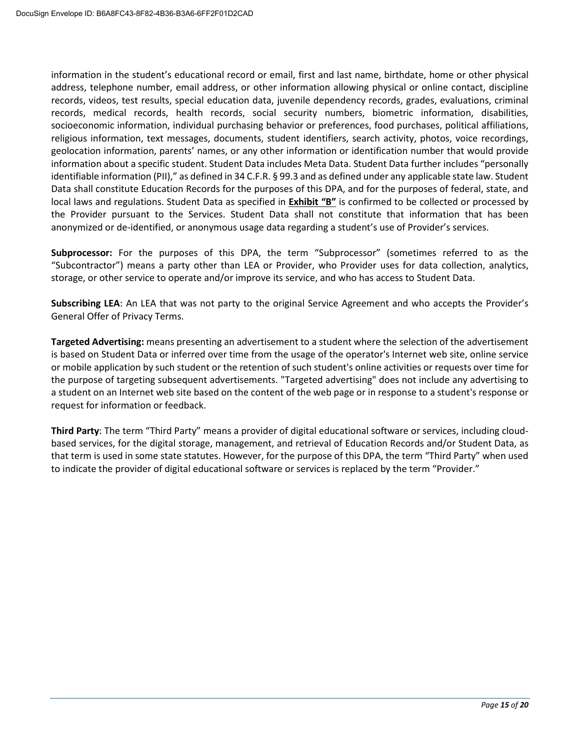geolocation information, parents' names, or any other information or identification number that would provide information about a specific student. Student Data includes Meta Data. Student Data further includes "personally Data shall constitute Education Records for the purposes of this DPA, and for the purposes of federal, state, and local laws and regulations. Student Data as specified in **Exhibit "B"** is confirmed to be collected or processed by information in the student's educational record or email, first and last name, birthdate, home or other physical address, telephone number, email address, or other information allowing physical or online contact, discipline records, videos, test results, special education data, juvenile dependency records, grades, evaluations, criminal records, medical records, health records, social security numbers, biometric information, disabilities, socioeconomic information, individual purchasing behavior or preferences, food purchases, political affiliations, religious information, text messages, documents, student identifiers, search activity, photos, voice recordings, identifiable information (PII)," as defined in 34 C.F.R. § 99.3 and as defined under any applicable state law. Student the Provider pursuant to the Services. Student Data shall not constitute that information that has been anonymized or de-identified, or anonymous usage data regarding a student's use of Provider's services.

 "Subcontractor") means a party other than LEA or Provider, who Provider uses for data collection, analytics, storage, or other service to operate and/or improve its service, and who has access to Student Data. **Subprocessor:** For the purposes of this DPA, the term "Subprocessor" (sometimes referred to as the

**Subscribing LEA**: An LEA that was not party to the original Service Agreement and who accepts the Provider's General Offer of Privacy Terms.

 **Targeted Advertising:** means presenting an advertisement to a student where the selection of the advertisement is based on Student Data or inferred over time from the usage of the operator's Internet web site, online service or mobile application by such student or the retention of such student's online activities or requests over time for a student on an Internet web site based on the content of the web page or in response to a student's response or the purpose of targeting subsequent advertisements. "Targeted advertising" does not include any advertising to request for information or feedback.

 that term is used in some state statutes. However, for the purpose of this DPA, the term "Third Party" when used **Third Party**: The term "Third Party" means a provider of digital educational software or services, including cloudbased services, for the digital storage, management, and retrieval of Education Records and/or Student Data, as to indicate the provider of digital educational software or services is replaced by the term "Provider."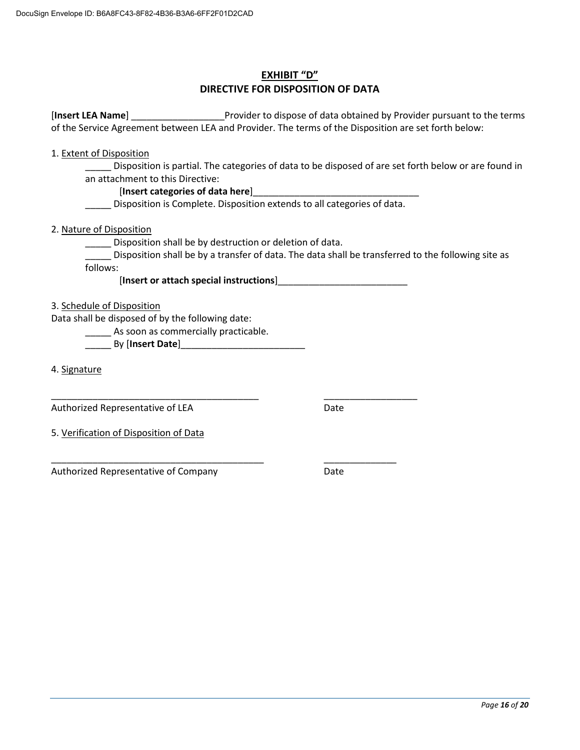## **EXHIBIT "D" DIRECTIVE FOR DISPOSITION OF DATA**

 [**Insert LEA Name**] \_\_\_\_\_\_\_\_\_\_\_\_\_\_\_\_\_\_Provider to dispose of data obtained by Provider pursuant to the terms of the Service Agreement between LEA and Provider. The terms of the Disposition are set forth below:

1. Extent of Disposition

 \_\_\_\_\_ Disposition is partial. The categories of data to be disposed of are set forth below or are found in an attachment to this Directive:

#### [Insert categories of data here]

Disposition is Complete. Disposition extends to all categories of data.

2. Nature of Disposition

\_\_\_\_\_ Disposition shall be by destruction or deletion of data.

\_\_\_\_\_ Disposition shall be by a transfer of data. The data shall be transferred to the following site as follows:

#### [**Insert or attach special instructions**]\_\_\_\_\_\_\_\_\_\_\_\_\_\_\_\_\_\_\_\_\_\_\_\_\_

#### 3. Schedule of Disposition

Data shall be disposed of by the following date:

\_\_\_\_\_\_\_\_\_\_\_\_\_\_\_\_\_\_\_\_\_\_\_\_\_\_\_\_\_\_\_\_\_\_\_\_\_\_\_\_

\_\_\_\_\_\_\_\_\_\_\_\_\_\_\_\_\_\_\_\_\_\_\_\_\_\_\_\_\_\_\_\_\_\_\_\_\_\_\_\_\_

**\_\_\_\_\_** As soon as commercially practicable.

\_\_\_\_\_ By [**Insert Date**]\_\_\_\_\_\_\_\_\_\_\_\_\_\_\_\_\_\_\_\_\_\_\_\_

4. Signature

Authorized Representative of LEA

Date

\_\_\_\_\_\_\_\_\_\_\_\_\_\_\_\_\_\_

5. Verification of Disposition of Data

Authorized Representative of Company \_\_\_\_\_\_\_\_\_\_\_\_\_\_

Date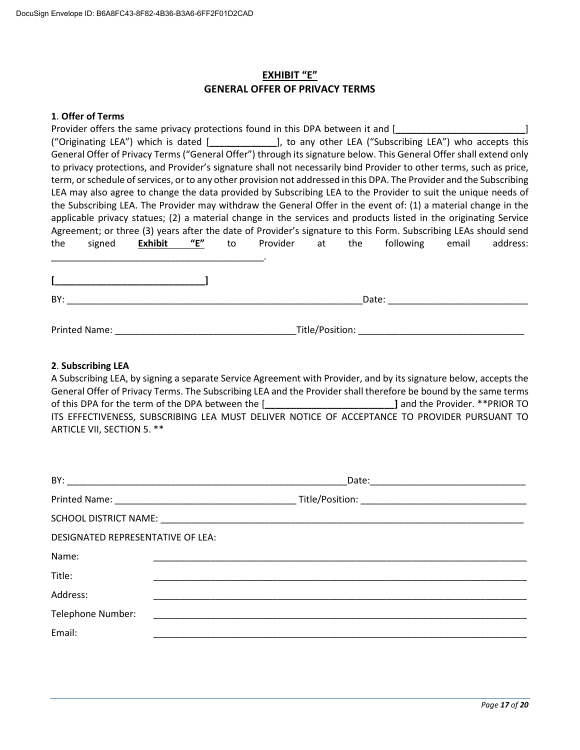### **EXHIBIT "E" GENERAL OFFER OF PRIVACY TERMS**

#### **1**. **Offer of Terms**

|     | Provider offers the same privacy protections found in this DPA between it and [                                                                                                                                                     |                |     |    |             |     |                                                                                                                      |       |          |
|-----|-------------------------------------------------------------------------------------------------------------------------------------------------------------------------------------------------------------------------------------|----------------|-----|----|-------------|-----|----------------------------------------------------------------------------------------------------------------------|-------|----------|
|     |                                                                                                                                                                                                                                     |                |     |    |             |     | ("Originating LEA") which is dated [______________], to any other LEA ("Subscribing LEA") who accepts this           |       |          |
|     |                                                                                                                                                                                                                                     |                |     |    |             |     | General Offer of Privacy Terms ("General Offer") through its signature below. This General Offer shall extend only   |       |          |
|     |                                                                                                                                                                                                                                     |                |     |    |             |     | to privacy protections, and Provider's signature shall not necessarily bind Provider to other terms, such as price,  |       |          |
|     |                                                                                                                                                                                                                                     |                |     |    |             |     | term, or schedule of services, or to any other provision not addressed in this DPA. The Provider and the Subscribing |       |          |
|     | LEA may also agree to change the data provided by Subscribing LEA to the Provider to suit the unique needs of                                                                                                                       |                |     |    |             |     |                                                                                                                      |       |          |
|     |                                                                                                                                                                                                                                     |                |     |    |             |     | the Subscribing LEA. The Provider may withdraw the General Offer in the event of: (1) a material change in the       |       |          |
|     |                                                                                                                                                                                                                                     |                |     |    |             |     | applicable privacy statues; (2) a material change in the services and products listed in the originating Service     |       |          |
|     |                                                                                                                                                                                                                                     |                |     |    |             |     | Agreement; or three (3) years after the date of Provider's signature to this Form. Subscribing LEAs should send      |       |          |
| the | signed                                                                                                                                                                                                                              | <b>Exhibit</b> | "E" | to | Provider at | the | following                                                                                                            | email | address: |
|     |                                                                                                                                                                                                                                     |                |     |    |             |     |                                                                                                                      |       |          |
|     |                                                                                                                                                                                                                                     |                |     |    |             |     |                                                                                                                      |       |          |
|     |                                                                                                                                                                                                                                     |                |     |    |             |     |                                                                                                                      |       |          |
| BY: |                                                                                                                                                                                                                                     |                |     |    |             |     | Date:                                                                                                                |       |          |
|     |                                                                                                                                                                                                                                     |                |     |    |             |     |                                                                                                                      |       |          |
|     | <b>Printed Name:</b> The Communication of the Communication of the Communication of the Communication of the Communication of the Communication of the Communication of the Communication of the Communication of the Communication |                |     |    |             |     | Title/Position: Title of the Title of the Title of the Title of the Title of the Title of the Title of the Tit       |       |          |
|     |                                                                                                                                                                                                                                     |                |     |    |             |     |                                                                                                                      |       |          |

#### **2**. **Subscribing LEA**

 A Subscribing LEA, by signing a separate Service Agreement with Provider, and by its signature below, accepts the General Offer of Privacy Terms. The Subscribing LEA and the Provider shall therefore be bound by the same terms of this DPA for the term of the DPA between the [**\_\_\_\_\_\_\_\_\_\_\_\_\_\_\_\_\_\_\_\_\_\_\_\_\_]** and the Provider. \*\*PRIOR TO ITS EFFECTIVENESS, SUBSCRIBING LEA MUST DELIVER NOTICE OF ACCEPTANCE TO PROVIDER PURSUANT TO ARTICLE VII, SECTION 5. \*\*

| DESIGNATED REPRESENTATIVE OF LEA: |  |  |
|-----------------------------------|--|--|
| Name:                             |  |  |
| Title:                            |  |  |
| Address:                          |  |  |
| Telephone Number:                 |  |  |
| Email:                            |  |  |
|                                   |  |  |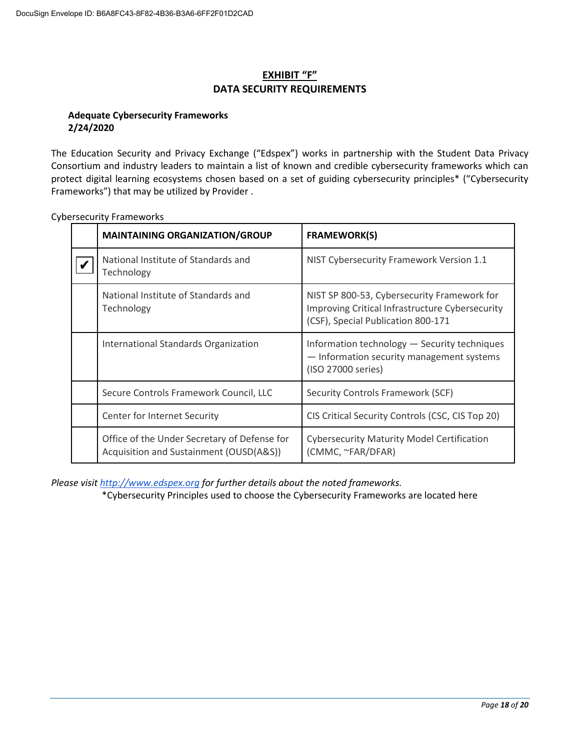# **EXHIBIT "F" DATA SECURITY REQUIREMENTS**

### **Adequate Cybersecurity Frameworks 2/24/2020**

 The Education Security and Privacy Exchange ("Edspex") works in partnership with the Student Data Privacy Frameworks") that may be utilized by Provider . Consortium and industry leaders to maintain a list of known and credible cybersecurity frameworks which can protect digital learning ecosystems chosen based on a set of guiding cybersecurity principles\* ("Cybersecurity

| <b>MAINTAINING ORGANIZATION/GROUP</b>                                                   | <b>FRAMEWORK(S)</b>                                                                                                                  |
|-----------------------------------------------------------------------------------------|--------------------------------------------------------------------------------------------------------------------------------------|
| National Institute of Standards and<br>Technology                                       | NIST Cybersecurity Framework Version 1.1                                                                                             |
| National Institute of Standards and<br>Technology                                       | NIST SP 800-53, Cybersecurity Framework for<br>Improving Critical Infrastructure Cybersecurity<br>(CSF), Special Publication 800-171 |
| International Standards Organization                                                    | Information technology - Security techniques<br>- Information security management systems<br>(ISO 27000 series)                      |
| Secure Controls Framework Council, LLC                                                  | Security Controls Framework (SCF)                                                                                                    |
| Center for Internet Security                                                            | CIS Critical Security Controls (CSC, CIS Top 20)                                                                                     |
| Office of the Under Secretary of Defense for<br>Acquisition and Sustainment (OUSD(A&S)) | <b>Cybersecurity Maturity Model Certification</b><br>(CMMC, ~FAR/DFAR)                                                               |

Cybersecurity Frameworks

*Please visi[t http://www.edspex.org](http://www.edspex.org/) for further details about the noted frameworks.* 

\*Cybersecurity Principles used to choose the Cybersecurity Frameworks are located here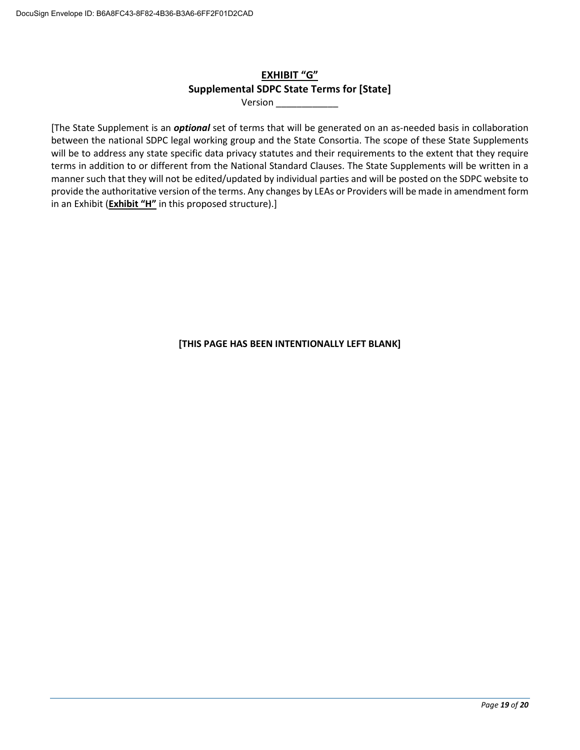# **EXHIBIT "G" Supplemental SDPC State Terms for [State]**

Version \_\_\_\_\_\_\_\_\_\_\_\_

 terms in addition to or different from the National Standard Clauses. The State Supplements will be written in a manner such that they will not be edited/updated by individual parties and will be posted on the SDPC website to provide the authoritative version of the terms. Any changes by LEAs or Providers will be made in amendment form [The State Supplement is an *optional* set of terms that will be generated on an as-needed basis in collaboration between the national SDPC legal working group and the State Consortia. The scope of these State Supplements will be to address any state specific data privacy statutes and their requirements to the extent that they require in an Exhibit (**Exhibit "H"** in this proposed structure).]

**[THIS PAGE HAS BEEN INTENTIONALLY LEFT BLANK]**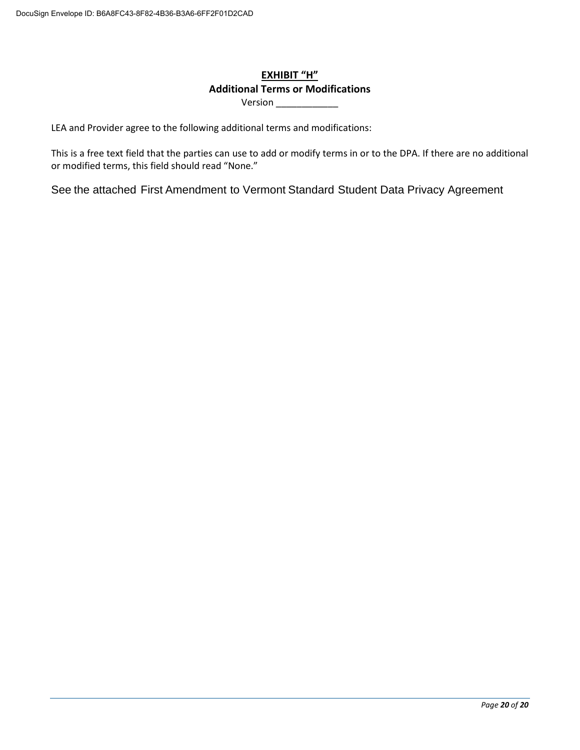# **Additional Terms or Modifications EXHIBIT "H"**

Version \_\_\_\_\_\_\_\_\_\_\_\_\_\_

LEA and Provider agree to the following additional terms and modifications:

 This is a free text field that the parties can use to add or modify terms in or to the DPA. If there are no additional or modified terms, this field should read "None."

See the attached First Amendment to Vermont Standard Student Data Privacy Agreement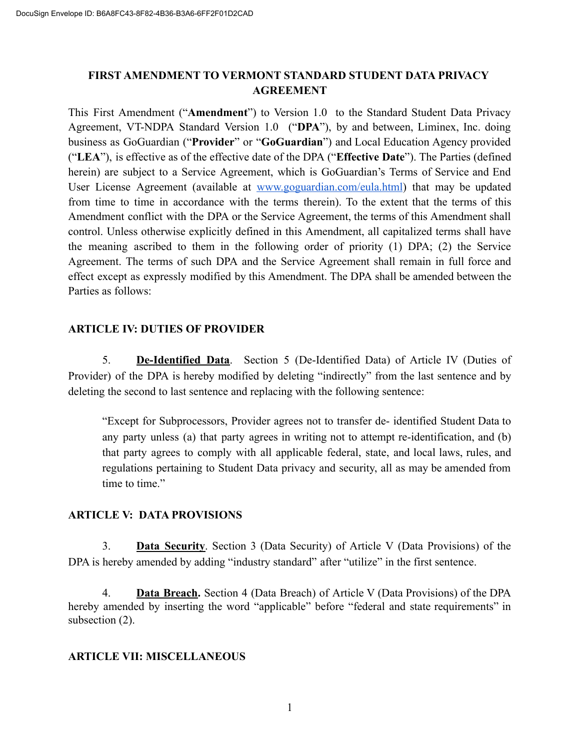# **FIRST AMENDMENT TO VERMONT STANDARD STUDENT DATA PRIVACY AGREEMENT**

This First Amendment ("**Amendment**") to Version 1.0 to the Standard Student Data Privacy Agreement, VT-NDPA Standard Version 1.0 ("**DPA**"), by and between, Liminex, Inc. doing business as GoGuardian ("**Provider**" or "**GoGuardian**") and Local Education Agency provided ("**LEA**"), is effective as of the effective date of the DPA ("**Effective Date**"). The Parties (defined herein) are subject to a Service Agreement, which is GoGuardian's Terms of Service and End User License Agreement (available at [www.goguardian.com/eula.html](http://www.goguardian.com/eula.html)) that may be updated from time to time in accordance with the terms therein). To the extent that the terms of this Amendment conflict with the DPA or the Service Agreement, the terms of this Amendment shall control. Unless otherwise explicitly defined in this Amendment, all capitalized terms shall have the meaning ascribed to them in the following order of priority (1) DPA; (2) the Service Agreement. The terms of such DPA and the Service Agreement shall remain in full force and effect except as expressly modified by this Amendment. The DPA shall be amended between the Parties as follows:

# **ARTICLE IV: DUTIES OF PROVIDER**

5. **De-Identified Data**. Section 5 (De-Identified Data) of Article IV (Duties of Provider) of the DPA is hereby modified by deleting "indirectly" from the last sentence and by deleting the second to last sentence and replacing with the following sentence:

"Except for Subprocessors, Provider agrees not to transfer de- identified Student Data to any party unless (a) that party agrees in writing not to attempt re-identification, and (b) that party agrees to comply with all applicable federal, state, and local laws, rules, and regulations pertaining to Student Data privacy and security, all as may be amended from time to time."

## **ARTICLE V: DATA PROVISIONS**

3. **Data Security**. Section 3 (Data Security) of Article V (Data Provisions) of the DPA is hereby amended by adding "industry standard" after "utilize" in the first sentence.

4. **Data Breach.** Section 4 (Data Breach) of Article V (Data Provisions) of the DPA hereby amended by inserting the word "applicable" before "federal and state requirements" in subsection  $(2)$ .

## **ARTICLE VII: MISCELLANEOUS**